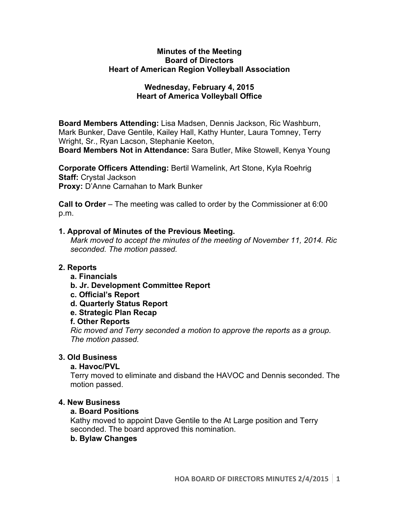#### **Minutes of the Meeting Board of Directors Heart of American Region Volleyball Association**

## **Wednesday, February 4, 2015 Heart of America Volleyball Office**

**Board Members Attending:** Lisa Madsen, Dennis Jackson, Ric Washburn, Mark Bunker, Dave Gentile, Kailey Hall, Kathy Hunter, Laura Tomney, Terry Wright, Sr., Ryan Lacson, Stephanie Keeton,

**Board Members Not in Attendance:** Sara Butler, Mike Stowell, Kenya Young

**Corporate Officers Attending:** Bertil Wamelink, Art Stone, Kyla Roehrig **Staff:** Crystal Jackson **Proxy:** D'Anne Carnahan to Mark Bunker

**Call to Order** – The meeting was called to order by the Commissioner at 6:00 p.m.

# **1. Approval of Minutes of the Previous Meeting.**

*Mark moved to accept the minutes of the meeting of November 11, 2014. Ric seconded. The motion passed.*

# **2. Reports**

- **a. Financials**
- **b. Jr. Development Committee Report**
- **c. Official's Report**
- **d. Quarterly Status Report**
- **e. Strategic Plan Recap**

### **f. Other Reports**

*Ric moved and Terry seconded a motion to approve the reports as a group. The motion passed.* 

# **3. Old Business**

### **a. Havoc/PVL**

Terry moved to eliminate and disband the HAVOC and Dennis seconded. The motion passed.

### **4. New Business**

### **a. Board Positions**

Kathy moved to appoint Dave Gentile to the At Large position and Terry seconded. The board approved this nomination.

### **b. Bylaw Changes**